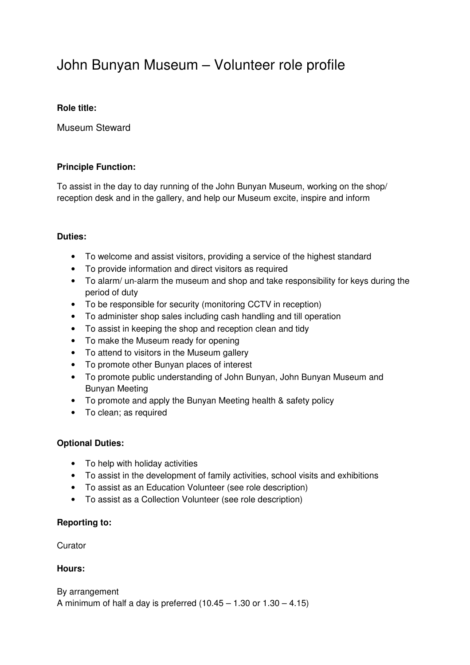# John Bunyan Museum – Volunteer role profile

## **Role title:**

Museum Steward

# **Principle Function:**

To assist in the day to day running of the John Bunyan Museum, working on the shop/ reception desk and in the gallery, and help our Museum excite, inspire and inform

# **Duties:**

- To welcome and assist visitors, providing a service of the highest standard
- To provide information and direct visitors as required
- To alarm/ un-alarm the museum and shop and take responsibility for keys during the period of duty
- To be responsible for security (monitoring CCTV in reception)
- To administer shop sales including cash handling and till operation
- To assist in keeping the shop and reception clean and tidy
- To make the Museum ready for opening
- To attend to visitors in the Museum gallery
- To promote other Bunyan places of interest
- To promote public understanding of John Bunyan, John Bunyan Museum and Bunyan Meeting
- To promote and apply the Bunyan Meeting health & safety policy
- To clean; as required

### **Optional Duties:**

- To help with holiday activities
- To assist in the development of family activities, school visits and exhibitions
- To assist as an Education Volunteer (see role description)
- To assist as a Collection Volunteer (see role description)

### **Reporting to:**

**Curator** 

### **Hours:**

By arrangement A minimum of half a day is preferred  $(10.45 - 1.30)$  or  $1.30 - 4.15$ )